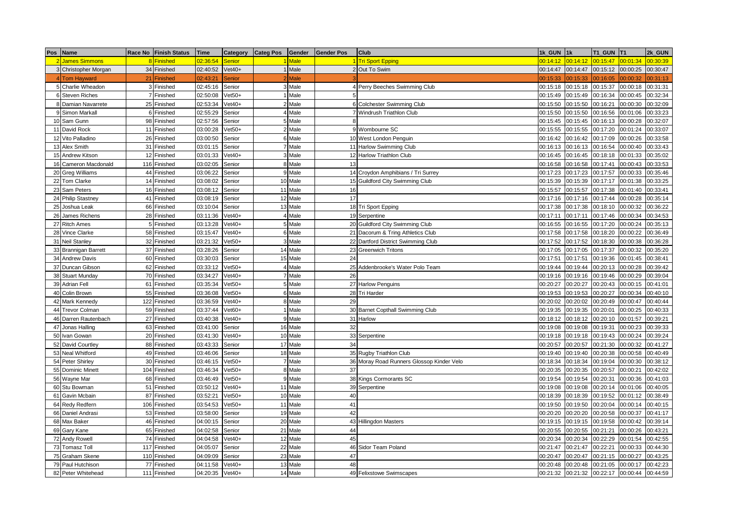| Pos | Name                 | Race No Finish Status | <b>Time</b> | Category      | <b>Categ Pos</b> | Gender  | <b>Gender Pos</b> | Club                                      | 1k GUN   | 1k       | T1 GUN   | <b>T1</b> | 2k GUN   |
|-----|----------------------|-----------------------|-------------|---------------|------------------|---------|-------------------|-------------------------------------------|----------|----------|----------|-----------|----------|
|     | <b>James Simmons</b> | 8 Finished            | 02:36:54    | <b>Senior</b> |                  | 1 Male  |                   | 1 Tri Sport Epping                        | 00:14:12 | 00:14:12 | 00:15:47 | 00:01:34  | 00:30:39 |
|     | 3 Christopher Morgan | 34 Finished           | 02:40:52    | $Vet40+$      |                  | 1 Male  |                   | 2 Out To Swim                             | 00:14:47 | 00:14:47 | 00:15:12 | 00:00:25  | 00:30:47 |
|     | 4 Tom Hayward        | 21 Finished           | 02:43:21    | Senior        |                  | 2 Male  |                   |                                           | 00:15:33 | 00:15:33 | 00:16:05 | 00:00:32  | 0:31:13  |
|     | 5 Charlie Wheadon    | 3 Finished            | 02:45:16    | Senior        |                  | 3 Male  |                   | 4 Perry Beeches Swimming Club             | 00:15:18 | 00:15:18 | 00:15:37 | 00:00:18  | 00:31:31 |
|     | 6 Steven Riches      | 7 Finished            | 02:50:08    | $Vet50+$      |                  | 1 Male  | 5                 |                                           | 00:15:49 | 00:15:49 | 00:16:34 | 00:00:45  | 00:32:34 |
|     | 8 Damian Navarrete   | 25 Finished           | 02:53:34    | $/et40+$      |                  | 2 Male  |                   | 6 Colchester Swimming Club                | 00:15:50 | 00:15:50 | 00:16:21 | 00:00:30  | 00:32:09 |
|     | 9 Simon Markall      | 6 Finished            | 02:55:29    | Senior        |                  | 4 Male  |                   | 7 Windrush Triathlon Club                 | 00:15:50 | 00:15:50 | 00:16:56 | 00:01:06  | 00:33:23 |
|     | 10 Sam Gunn          | 98 Finished           | 02:57:56    | Senior        |                  | 5 Male  | 8                 |                                           | 00:15:45 | 00:15:45 | 00:16:13 | 00:00:28  | 00:32:07 |
| 11  | David Rock           | 11 Finished           | 03:00:28    | $/et50+$      |                  | 2 Male  |                   | 9 Wombourne SC                            | 00:15:55 | 00:15:55 | 00:17:20 | 00:01:24  | 00:33:07 |
|     | 12 Vito Palladino    | 26 Finished           | 03:00:50    | Senior        |                  | 6 Male  |                   | 10 West London Penguin                    | 00:16:42 | 00:16:42 | 00:17:09 | 00:00:26  | 00:33:58 |
|     | 13 Alex Smith        | 31 Finished           | 03:01:15    | Senior        |                  | 7 Male  |                   | 11 Harlow Swimming Club                   | 00:16:13 | 00:16:13 | 00:16:54 | 00:00:40  | 00:33:43 |
|     | 15 Andrew Kitson     | 12 Finished           | 03:01:33    | $Vet40+$      |                  | 3 Male  |                   | 12 Harlow Triathlon Club                  | 00:16:45 | 00:16:45 | 00:18:18 | 00:01:33  | 00:35:02 |
| 16  | Cameron Macdonald    | 116 Finished          | 03:02:05    | Senior        |                  | 8 Male  | 13                |                                           | 00:16:58 | 00:16:58 | 00:17:41 | 00:00:43  | 00:33:53 |
|     | 20 Greg Williams     | 44 Finished           | 03:06:22    | Senior        |                  | 9 Male  |                   | 14 Croydon Amphibians / Tri Surrey        | 00:17:23 | 00:17:23 | 00:17:57 | 00:00:33  | 00:35:46 |
|     | 22 Tom Clarke        | 14 Finished           | 03:08:02    | Senior        |                  | 10 Male |                   | 15 Guildford City Swimming Club           | 00:15:39 | 00:15:39 | 00:17:17 | 00:01:38  | 00:33:25 |
| 23  | Sam Peters           | 16 Finished           | 03:08:12    | Senior        |                  | 11 Male | 16                |                                           | 00:15:57 | 00:15:57 | 00:17:38 | 00:01:40  | 00:33:41 |
|     | 24 Philip Stastney   | 41 Finished           | 03:08:19    | Senior        |                  | 12 Male | 17                |                                           | 00:17:16 | 00:17:16 | 00:17:44 | 00:00:28  | 00:35:14 |
| 25  | Joshua Leak          | 66 Finished           | 03:10:04    | Senior        |                  | 13 Male |                   | 18 Tri Sport Epping                       | 00:17:38 | 00:17:38 | 00:18:10 | 00:00:32  | 00:36:22 |
| 26  | James Richens        | 28 Finished           | 03:11:36    | $/et40+$      |                  | 4 Male  |                   | 19 Serpentine                             | 00:17:11 | 00:17:11 | 00:17:46 | 00:00:34  | 00:34:53 |
|     | 27 Ritch Ames        | 5 Finished            | 03:13:28    | $/et40+$      |                  | 5 Male  |                   | 20 Guildford City Swimming Club           | 00:16:55 | 00:16:55 | 00:17:20 | 00:00:24  | 00:35:13 |
|     | 28 Vince Clarke      | 58 Finished           | 03:15:47    | $Vet40+$      |                  | 6 Male  |                   | 21 Dacorum & Tring Athletics Club         | 00:17:58 | 00:17:58 | 00:18:20 | 00:00:22  | 00:36:49 |
| 31  | <b>Neil Stanley</b>  | 32 Finished           | 03:21:32    | $Vet50+$      |                  | 3 Male  |                   | 22 Dartford District Swimming Club        | 00:17:52 | 00:17:52 | 00:18:30 | 00:00:38  | 00:36:28 |
|     | 33 Brannigan Barrett | 37 Finished           | 03:28:26    | Senior        |                  | 14 Male |                   | 23 Greenwich Tritons                      | 00:17:05 | 00:17:05 | 00:17:37 | 00:00:32  | 00:35:20 |
| 34  | <b>Andrew Davis</b>  | 60 Finished           | 03:30:03    | Senior        |                  | 15 Male | 24                |                                           | 00:17:51 | 00:17:51 | 00:19:36 | 00:01:45  | 00:38:41 |
| 37  | Duncan Gibson        | 62 Finished           | 03:33:12    | $Vet50+$      |                  | 4 Male  |                   | 25 Addenbrooke's Water Polo Team          | 00:19:44 | 00:19:44 | 00:20:13 | 00:00:28  | 00:39:42 |
|     | 38 Stuart Munday     | 70 Finished           | 03:34:27    | $Vet40+$      |                  | 7 Male  | 26                |                                           | 00:19:16 | 00:19:16 | 00:19:46 | 00:00:29  | 00:39:04 |
| 39  | <b>Adrian Fell</b>   | 61 Finished           | 03:35:34    | $/et50+$      |                  | 5 Male  |                   | 27 Harlow Penguins                        | 00:20:27 | 00:20:27 | 00:20:43 | 00:00:15  | 00:41:01 |
| 40  | Colin Brown          | 55 Finished           | 03:36:08    | $Vet50+$      |                  | 6 Male  |                   | 28 Tri Harder                             | 00:19:53 | 00:19:53 | 00:20:27 | 00:00:34  | 00:40:10 |
|     | 42 Mark Kennedy      | 122 Finished          | 03:36:59    | $Vet40+$      |                  | 8 Male  | 29                |                                           | 00:20:02 | 00:20:02 | 00:20:49 | 00:00:47  | 00:40:44 |
| 44  | <b>Trevor Colman</b> | 59 Finished           | 03:37:44    | $Vet60+$      |                  | 1 Male  |                   | 30 Barnet Copthall Swimming Club          | 00:19:35 | 00:19:35 | 00:20:01 | 00:00:25  | 00:40:33 |
| 46  | Darren Rautenbach    | 27 Finished           | 03:40:38    | $Vet40+$      |                  | 9 Male  | 31                | Harlow                                    | 00:18:12 | 00:18:12 | 00:20:10 | 00:01:57  | 00:39:21 |
| 47  | Jonas Halling        | 63 Finished           | 03:41:00    | Senior        |                  | 16 Male | 32                |                                           | 00:19:08 | 00:19:08 | 00:19:31 | 00:00:23  | 00:39:33 |
| 50  | Ivan Gowan           | 20 Finished           | 03:41:30    | $Vet40+$      |                  | 10 Male |                   | 33 Serpentine                             | 00:19:18 | 00:19:18 | 00:19:43 | 00:00:24  | 00:39:24 |
| 52  | David Courtley       | 88 Finished           | 03:43:33    | Senior        |                  | 17 Male | 34                |                                           | 00:20:57 | 00:20:57 | 00:21:30 | 00:00:32  | 00:41:27 |
|     | 53 Neal Whitford     | 49 Finished           | 03:46:06    | Senior        |                  | 18 Male |                   | 35 Rugby Triathlon Club                   | 00:19:40 | 00:19:40 | 00:20:38 | 00:00:58  | 00:40:49 |
|     | 54 Peter Shirley     | 30 Finished           | 03:46:15    | $Vet50+$      |                  | 7 Male  |                   | 36 Moray Road Runners Glossop Kinder Velo | 00:18:34 | 00:18:34 | 00:19:04 | 00:00:30  | 00:38:12 |
| 55  | Dominic Minett       | 104 Finished          | 03:46:34    | $Vet50+$      |                  | 8 Male  | 37                |                                           | 00:20:35 | 00:20:35 | 00:20:57 | 00:00:21  | 00:42:02 |
|     | 56 Wayne Mar         | 68 Finished           | 03:46:49    | $V$ et50+     |                  | 9 Male  |                   | 38 Kings Cormorants SC                    | 00:19:54 | 00:19:54 | 00:20:31 | 00:00:36  | 00:41:03 |
|     | 60 Stu Bowman        | 51 Finished           | 03:50:12    | $Vet40+$      |                  | 11 Male |                   | 39 Serpentine                             | 00:19:08 | 00:19:08 | 00:20:14 | 00:01:06  | 00:40:05 |
| 61  | Gavin Mcbain         | 87 Finished           | 03:52:21    | $Vet50+$      |                  | 10 Male | 40                |                                           | 00:18:39 | 00:18:39 | 00:19:52 | 00:01:12  | 00:38:49 |
| 64  | Redy Redfern         | 106 Finished          | 03:54:53    | $Vet50+$      |                  | 11 Male | 41                |                                           | 00:19:50 | 00:19:50 | 00:20:04 | 00:00:14  | 00:40:15 |
| 66  | Daniel Andrasi       | 53 Finished           | 03:58:00    | Senior        |                  | 19 Male | 42                |                                           | 00:20:20 | 00:20:20 | 00:20:58 | 00:00:37  | 00:41:17 |
|     | 68 Max Baker         | 46 Finished           | 04:00:15    | Senior        |                  | 20 Male |                   | 43 Hillingdon Masters                     | 00:19:15 | 00:19:15 | 00:19:58 | 00:00:42  | 00:39:14 |
|     | 69 Gary Kane         | 65 Finished           | 04:02:58    | Senior        |                  | 21 Male | 44                |                                           | 00:20:55 | 00:20:55 | 00:21:21 | 00:00:26  | 00:43:21 |
|     | 72 Andy Rowell       | 74 Finished           | 04:04:58    | $Vet40+$      |                  | 12 Male | 45                |                                           | 00:20:34 | 00:20:34 | 00:22:29 | 00:01:54  | 00:42:55 |
| 73  | <b>Tomasz Toll</b>   | 117 Finished          | 04:05:07    | Senior        |                  | 22 Male |                   | 46 Sidor Team Poland                      | 00:21:47 | 00:21:47 | 00:22:21 | 00:00:33  | 00:44:30 |
| 75  | <b>Graham Skene</b>  | 110 Finished          | 04:09:09    | Senior        |                  | 23 Male | 47                |                                           | 00:20:47 | 00:20:47 | 00:21:15 | 00:00:27  | 00:43:25 |
|     | 79 Paul Hutchison    | 77 Finished           | 04:11:58    | $Vet40+$      |                  | 13 Male | 48                |                                           | 00:20:48 | 00:20:48 | 00:21:05 | 00:00:17  | 00:42:23 |
|     | 82 Peter Whitehead   | 111 Finished          | 04:20:35    | $Vet40+$      |                  | 14 Male |                   | 49 Felixstowe Swimscapes                  | 00:21:32 | 00:21:32 | 00:22:17 | 00:00:44  | 00:44:59 |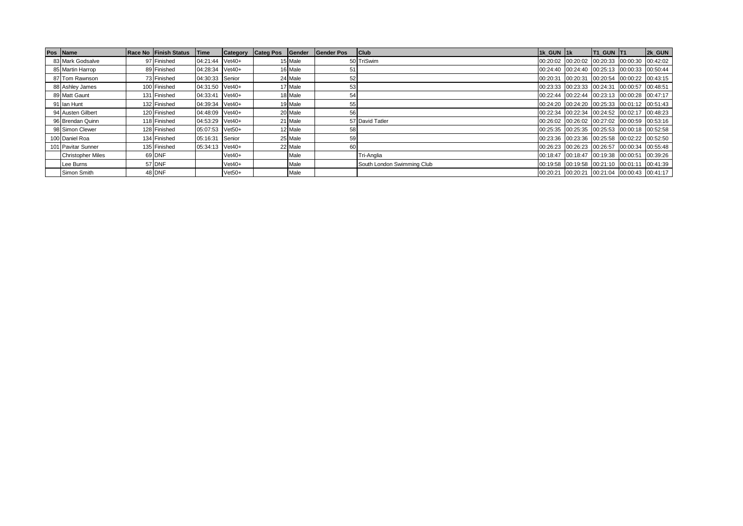| Pos Name                 | <b>Race No Finish Status</b> | Time            | Category | <b>Categ Pos</b> | Gender  | <b>Gender Pos</b> | <b>Club</b>                | 1k GUN 1k | <b>T1 GUN T1</b>                             | 2k GUN                              |
|--------------------------|------------------------------|-----------------|----------|------------------|---------|-------------------|----------------------------|-----------|----------------------------------------------|-------------------------------------|
| 83 Mark Godsalve         | 97 Finished                  | 04:21:44 Vet40+ |          |                  | 15 Male |                   | 50 TriSwim                 |           | 00:20:02 00:20:02 00:20:33 00:00:30 00:42:02 |                                     |
| 85 Martin Harrop         | 89 Finished                  | 04:28:34 Vet40+ |          |                  | 16 Male | 5.                |                            |           | 00:24:40 00:24:40 00:25:13 00:00:33 00:50:44 |                                     |
| 87 Tom Rawnson           | 73 Finished                  | 04:30:33 Senior |          |                  | 24 Male | 52                |                            | 00:20:31  | 00:20:31 00:20:54 00:00:22 00:43:15          |                                     |
| 88 Ashley James          | 100 Finished                 | 04:31:50 Vet40+ |          |                  | 17 Male | 53                |                            |           | 00:23:33 00:23:33 00:24:31 00:00:57 00:48:51 |                                     |
| 89 Matt Gaunt            | 131 Finished                 | 04:33:41 Vet40+ |          |                  | 18 Male | 54                |                            |           | 00:22:44 00:22:44 00:23:13 00:00:28 00:47:17 |                                     |
| 91 Ian Hunt              | 132 Finished                 | 04:39:34 Vet40+ |          |                  | 19 Male | 55                |                            |           | 00:24:20 00:24:20 00:25:33 00:01:12 00:51:43 |                                     |
| 94 Austen Gilbert        | 120 Finished                 | 04:48:09 Vet40+ |          |                  | 20 Male | 56                |                            |           | 00:22:34 00:22:34 00:24:52 00:02:17 00:48:23 |                                     |
| 96 Brendan Quinn         | 118 Finished                 | 04:53:29 Vet40+ |          |                  | 21 Male |                   | 57 David Tatler            |           | 00:26:02 00:26:02 00:27:02 00:00:59 00:53:16 |                                     |
| 98 Simon Clewer          | 128 Finished                 | 05:07:53 Vet50+ |          |                  | 12 Male | 58                |                            |           | 00:25:35 00:25:35 00:25:53 00:00:18 00:52:58 |                                     |
| 100 Daniel Roa           | 134 Finished                 | 05:16:31        | Senior   |                  | 25 Male | 59                |                            |           | 00:23:36 00:23:36 00:25:58 00:02:22 00:52:50 |                                     |
| 101 Pavitar Sunner       | 135 Finished                 | 05:34:13 Vet40+ |          |                  | 22 Male | 60                |                            |           | 00:26:23 00:26:23 00:26:57 00:00:34 00:55:48 |                                     |
| <b>Christopher Miles</b> | 69 DNF                       |                 | $Vet40+$ |                  | Male    |                   | Tri-Anglia                 | 00:18:47  | 00:18:47 00:19:38 00:00:51                   | 00:39:26                            |
| Lee Burns                | 57 DNF                       |                 | $Vet40+$ |                  | Male    |                   | South London Swimming Club | 00:19:58  | $00:19:58$ 00:21:10 00:01:11                 | 00:41:39                            |
| Simon Smith              | 48 DNF                       |                 | $Vet50+$ |                  | Male    |                   |                            | 00:20:21  |                                              | 00:20:21 00:21:04 00:00:43 00:41:17 |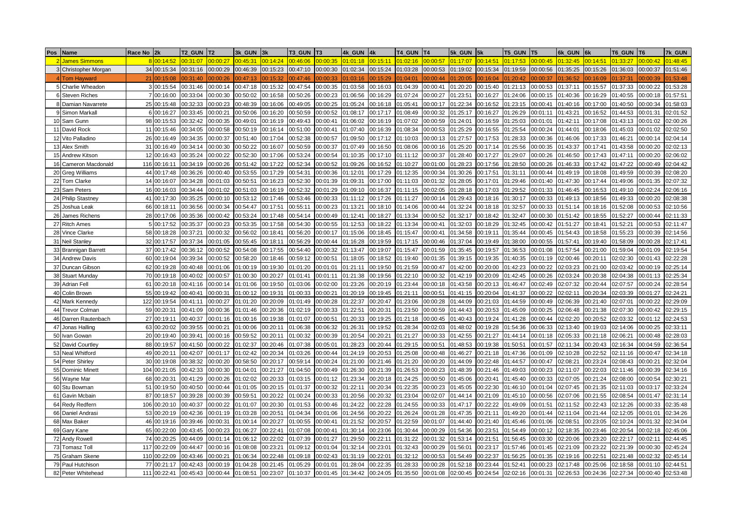| Pos             | <b>Name</b>           | Race No        | 2k           | T2 GUN   | T <sub>2</sub> | 3k GUN           | 3k       | T3 GUN   |          | 4k GUN   | 4k       | <b>T4 GUN</b> | T4       | 5k GUN   | 5k       | <b>T5 GUN</b> | T <sub>5</sub> | 6k GUN   |          | T6 GUN   | T <sub>6</sub> | 7k GUN   |
|-----------------|-----------------------|----------------|--------------|----------|----------------|------------------|----------|----------|----------|----------|----------|---------------|----------|----------|----------|---------------|----------------|----------|----------|----------|----------------|----------|
|                 | <b>James Simmons</b>  |                | 8 00:14:52   | 00:31:07 | 0:00:27        | 0:45:3'          | 00:14:24 | 00:46:06 | 00:00:35 | 01:01:18 | 00:15:11 | 01:02:16      | 00:00:57 | 01:17:07 | 00:14:51 | 01:17:53      | 0.00:45        | 01:32:45 | 0:14:51  | 01:33:27 | 00:00:42       | 01:48:45 |
|                 | 3 Christopher Morgan  |                | 34 00:15:34  | 00:31:16 | 00:00:29       | 00:46:39         | 00:15:23 | 00:47:10 | 00:00:30 | 01:02:34 | 00:15:24 | 01:03:28      | 00:00:53 | 01:19:02 | 00:15:34 | 01:19:59      | 00:00:56       | 01:35:25 | 00:15:26 | 01:36:03 | 00:00:37       | 01:51:46 |
|                 | <b>Tom Havward</b>    | 21             | 00:15:08     | 00:31:40 | 0:00:26        | 0:47:13          | 0:15:32  | 0:47:46  | 00:00:33 | 01:03:16 | 0:15:29  | 01:04:01      | 00:00:44 | 1:20:05  | 0:16:04  | 1:20:42       | 0:00:37        | 1:36:52  | 0:16:09  | 1:37:31  | 00:00:39       | 01:53:48 |
|                 | 5 Charlie Wheador     |                | 3 00:15:54   | 00:31:46 | 00:00:14       | 00:47:18         | 00:15:32 | 00:47:54 | 00:00:35 | 01:03:58 | 00:16:03 | 01:04:39      | 00:00:41 | 01:20:20 | 00:15:40 | 01:21:13      | 00:00:53       | 1:37:11  | 00:15:57 | 01:37:33 | 00:00:22       | 01:53:28 |
|                 | 6 Steven Riches       |                | 7 00:16:00   | 00:33:04 | 00:00:30       | 0:50:02          | 00:16:58 | 0:50:26  | 00:00:23 | 01:06:56 | 00:16:29 | 01:07:24      | 00:00:27 | 01:23:51 | 00:16:27 | 01:24:06      | 00:00:15       | 1:40:36  | 00:16:29 | 01:40:55 | 00:00:18       | 01:57:51 |
|                 | 8 Damian Navarrete    | 25             | 00:15:48     | 00:32:33 | 00:00:23       | 00:48:39         | 00:16:06 | 00:49:05 | 00:00:25 | 01:05:24 | 00:16:18 | 01:05:41      | 00:00:17 | 01:22:34 | 00:16:52 | 01:23:15      | 00:00:41       | 01:40:16 | 00:17:00 | 01:40:50 | 00:00:34       | 01:58:03 |
|                 | 9 Simon Markal        |                | 6 00:16:27   | 00:33:45 | 00:00:2        | 0:50:06          | 00:16:20 | 00:50:59 | 00:00:52 | 01:08:17 | 00:17:17 | 01:08:49      | 00:00:32 | 1:25:17  | 00:16:27 | 01:26:29      | 00:01:11       | 01:43:21 | 00:16:52 | 01:44:53 | 00:01:31       | 02:01:52 |
|                 | 10 Sam Gunn           | 98             | 00:15:53     | 00:32:42 | 00:00:35       | $0.49:0^{\circ}$ | 00:16:19 | 0:49:43  | 00:00:41 | 01:06:02 | 00:16:19 | 01:07:02      | 00:00:59 | 01:24:01 | 00:16:59 | 01:25:03      | 00:01:01       | 01:42:11 | 00:17:08 | 01:43:13 | 00:01:02       | 02:00:26 |
|                 | 11 David Rock         |                | 11 00:15:46  | 00:34:05 | 00:00:58       | 00:50:19         | 00:16:14 | 00:51:00 | 00:00:41 | 01:07:40 | 00:16:39 | 01:08:34      | 00:00:53 | 01:25:29 | 00:16:55 | 01:25:54      | 00:00:24       | 01:44:01 | 00:18:06 | 01:45:03 | 00:01:02       | 02:02:50 |
|                 | 12 Vito Palladino     | 26             | 00:16:49     | 00:34:35 | 00:00:37       | 00:51:40         | 00:17:04 | 00:52:38 | 00:00:57 | 01:09:50 | 00:17:12 | 01:10:03      | 00:00:13 | 01:27:57 | 00:17:53 | 01:28:33      | 00:00:36       | 01:46:06 | 00:17:33 | 01:46:21 | 00:00:14       | 02:04:14 |
|                 | 13 Alex Smith         |                | 31 00:16:49  | 00:34:14 | 00:00:30       | 0:50:22          | 00:16:07 | 00:50:59 | 00:00:37 | 01:07:49 | 00:16:50 | 01:08:06      | 00:00:16 | 01:25:20 | 00:17:14 | 01:25:56      | 00:00:35       | 01:43:37 | 00:17:41 | 01:43:58 | 00:00:20       | 02:02:13 |
|                 | 15 Andrew Kitson      | 12             | 00:16:43     | 00:35:24 | 00:00:22       | 0:52:30          | 00:17:06 | 00:53:24 | 00:00:54 | 01:10:35 | 00:17:10 | 01:11:12      | 00:00:37 | 1:28:40  | 00:17:27 | 01:29:07      | 00:00:26       | 01:46:50 | 00:17:43 | 01:47:11 | 00:00:20       | 02:06:02 |
|                 | 16 Cameron Macdonald  | 116            | 00:16:11     | 00:34:19 | 00:00:26       | 00:51:42         | 00:17:22 | 0:52:34  | 00:00:52 | 01:09:26 | 00:16:52 | 01:10:27      | 00:01:00 | 1:28:23  | 00:17:56 | 01:28:50      | 00:00:26       | 01:46:33 | 00:17:42 | 01:47:22 | 00:00:49       | 02:04:42 |
|                 | 20 Greg Williams      | 44             | 00:17:48     | 00:36:26 | 00:00:40       | 00:53:55         | 00:17:29 | 0:54:31  | 00:00:36 | 01:12:01 | 00:17:29 | 01:12:35      | 00:00:34 | 1:30:26  | 0:17:51  | 01:31:11      | 00:00:44       | 1:49:19  | 00:18:08 | 01:49:59 | 00:00:39       | 02:08:20 |
|                 | 22 Tom Clarke         |                | 14 00:16:07  | 00:34:28 | 00:01:03       | 00:50:51         | 00:16:23 | 0:52:30  | 00:01:39 | 01:09:31 | 00:17:00 | 01:11:03      | 00:01:32 | 1:28:05  | 00:17:01 | 01:29:46      | 00:01:40       | 1:47:30  | 00:17:44 | 01:49:06 | 00:01:35       | 02:07:32 |
| 23              | Sam Peters            | 16             | 00:16:03     | 00:34:44 | 00:01:02       | 00:51:03         | 00:16:19 | 0:52:32  | 00:01:29 | 01:09:10 | 00:16:37 | 01:11:15      | 00:02:05 | 1:28:18  | 00:17:03 | 01:29:52      | 00:01:33       | 01:46:45 | 00:16:53 | 01:49:10 | 00:02:24       | 02:06:16 |
|                 | 24 Philip Stastney    |                | 41 00:17:30  | 00:35:25 | 00:00:10       | 00:53:12         | 00:17:46 | 0:53:46  | 00:00:33 | 01:11:12 | 00:17:26 | 01:11:27      | 00:00:14 | 1:29:43  | 00:18:16 | 01:30:17      | 00:00:33       | 01:49:13 | 00:18:56 | 01:49:33 | 00:00:20       | 02:08:38 |
| 25              | Joshua Leak           | 66             | 00:18:1      | 00:36:56 | 00:00:34       | 00:54:47         | 00:17:51 | 0:55:11  | 00:00:23 | 01:13:21 | 00:18:10 | 01:14:06      | 00:00:44 | 1:32:24  | 0:18:18  | 01:32:57      | 00:00:33       | 01:51:14 | 00:18:16 | 01:52:08 | 00:00:53       | 02:10:56 |
| 26              | James Richens         | 28             | 00:17:06     | 00:35:36 | 00:00:42       | 00:53:24         | 00:17:48 | 0:54:14  | 00:00:49 | 01:12:41 | 00:18:27 | 01:13:34      | 00:00:52 | 1:32:17  | 00:18:42 | 01:32:47      | 00:00:30       | 01:51:42 | 00:18:55 | 01:52:27 | 00:00:44       | 02:11:33 |
|                 | 27 Ritch Ames         | 5 <sup>1</sup> | 00:17:52     | 00:35:37 | 00:00:23       | 00:53:35         | 00:17:58 | 0:54:30  | 00:00:55 | 01:12:53 | 00:18:22 | 01:13:34      | 00:00:41 | 01:32:03 | 0:18:29  | 01:32:45      | 00:00:42       | 1:51:27  | 00:18:41 | 01:52:21 | 00:00:53       | 02:11:47 |
| 28              | Vince Clarke          | 58             | 00:18:28     | 00:37:21 | 00:00:32       | 0:56:02          | 00:18:41 | 0:56:20  | 00:00:17 | 01:15:06 | 00:18:45 | 01:15:47      | 00:00:41 | 01:34:58 | 0:19:11  | 01:35:44      | 00:00:45       | 01:54:43 | 00:18:58 | 01:55:23 | 00:00:39       | 02:14:56 |
| 31              | Neil Stanley          | 32             | 00:17:57     | 00:37:34 | 00:01:05       | 0:55:45          | 00:18:11 | 0:56:29  | 00:00:44 | 01:16:28 | 00:19:59 | 01:17:15      | 00:00:46 | 01:37:04 | 0:19:49  | 01:38:00      | 0:00:55        | 01:57:41 | 00:19:40 | 01:58:09 | 00:00:28       | 02:17:41 |
|                 | 33 Brannigan Barret   | 37             | 00:17:42     | 00:36:12 | 00:00:52       | 0:54:08          | 00:17:55 | 0:54:40  | 00:00:32 | 01:13:47 | 00:19:07 | 01:15:47      | 00:01:59 | 01:35:45 | 0:19:57  | 01:36:53      | 00:01:08       | 1:57:54  | 00:21:00 | 01:59:04 | 00:01:09       | 02:19:54 |
| 34              | <b>Andrew Davis</b>   | 60             | 00:19:04     | 00:39:34 | 00:00:52       | 0:58:20          | 00:18:46 | 00:59:12 | 00:00:51 | 01:18:05 | 00:18:52 | 01:19:40      | 00:01:35 | 01:39:15 | 0:19:35  | 01:40:35      | 00:01:19       | 02:00:46 | 00:20:11 | 02:02:30 | 00:01:43       | 02:22:28 |
|                 | 37 Duncan Gibsor      | 62             | 00:19:28     | 00:40:48 | 00:01:06       | 01:00:19         | 00:19:30 | 01:01:20 | 00:01:01 | 01:21:11 | 00:19:50 | 01:21:59      | 00:00:47 | 01:42:00 | 0:20:00  | 01:42:23      | 00:00:22       | 02:03:23 | 00:21:00 | 02:03:42 | 00:00:19       | 02:25:14 |
|                 | 38 Stuart Munday      | 70             | 00:19:18     | 00:40:02 | 00:00:57       | 01:00:30         | 00:20:27 | 01:01:41 | 00:01:11 | 01:21:38 | 00:19:56 | 01:22:10      | 00:00:32 | 01:42:19 | 00:20:09 | 01:42:45      | 00:00:26       | 02:03:24 | 00:20:38 | 02:04:38 | 00:01:13       | 02:25:34 |
|                 | 39 Adrian Fell        | 61             | 00:20:18     | 00:41:16 | 00:00:14       | 01:01:06         | 00:19:50 | 01:03:06 | 00:02:00 | 01:23:26 | 00:20:19 | 01:23:44      | 00:00:18 | 01:43:58 | 00:20:13 | 01:46:47      | 00:02:49       | 02:07:32 | 00:20:44 | 02:07:57 | 00:00:24       | 02:28:54 |
|                 | 40 Colin Brown        | 55             | 00:19:42     | 00:40:41 | 00:00:31       | 01:00:12         | 00:19:31 | 01:00:33 | 00:00:21 | 01:20:19 | 00:19:45 | 01:21:11      | 00:00:51 | 01:41:15 | 00:20:04 | 01:41:37      | 00:00:22       | 02:02:11 | 00:20:34 | 02:03:39 | 00:01:27       | 02:24:21 |
|                 | 42 Mark Kennedy       | 122            | 00:19:54     | 00:41:11 | 00:00:27       | 1:01:20          | 00:20:09 | 01:01:49 | 00:00:28 | 01:22:37 | 00:20:47 | 01:23:06      | 00:00:28 | 01:44:09 | 00:21:03 | 01:44:59      | 00:00:49       | 02:06:39 | 00:21:40 | 02:07:01 | 00:00:22       | 02:29:09 |
| 44              | <b>Trevor Colman</b>  | 59             | 0:20:3'      | 00:41:09 | 00:00:36       | 1:01:46          | 00:20:36 | 01:02:19 | 00:00:33 | 01:22:51 | 00:20:31 | 01:23:50      | 00:00:59 | 01:44:43 | 00:20:53 | 01:45:09      | 0:00:25        | 02:06:48 | 00:21:38 | 02:07:30 | 00:00:42       | 02:29:15 |
|                 | 46 Darren Rautenbach  | 27             | 00:19:1      | 00:40:37 | 00:01:16       | 01:00:16         | 00:19:38 | 01:01:07 | 00:00:51 | 01:20:33 | 00:19:25 | 01:21:18      | 00:00:45 | 01:40:43 | 0:19:24  | 01:41:28      | 00:00:44       | 02:02:20 | 00:20:52 | 02:03:32 | 00:01:12       | 02:24:53 |
| 47              | Jonas Halling         | 63             | 00:20:02     | 00:39:55 | 00:00:21       | 1:00:06          | 00:20:11 | 01:06:38 | 00:06:32 | 01:26:31 | 00:19:52 | 01:28:34      | 0:02:03  | 1:48:02  | 00:19:28 | 01:54:36      | 0:06:33        | 02:13:40 | 00:19:03 | 02:14:06 | 00:00:25       | 02:33:11 |
| 50 <sub>1</sub> | van Gowar             | 20             | 00:19:40     | 00:39:41 | 00:00:16       | 0:59:52          | 00:20:11 | 01:00:32 | 00:00:39 | 01:20:54 | 00:20:21 | 01:21:27      | 00:00:33 | 1:42:55  | 0:21:27  | 01:44:14      | 0:01:18        | 02:05:33 | 00:21:18 | 02:06:21 | 00:00:48       | 02:28:03 |
| 52              | David Courtley        | 88             | 00:19:57     | 00:41:50 | 00:00:22       | 1:02:37          | 00:20:46 | 01:07:38 | 00:05:01 | 01:28:23 | 00:20:44 | 01:29:15      | 00:00:51 | 1:48:53  | 00:19:38 | 01:50:51      | 00:01:57       | 02:11:34 | 00:20:43 | 02:16:34 | 00:04:59       | 02:36:54 |
|                 | 53 Neal Whitford      | 49             | 00:20:11     | 00:42:07 | 00:01:17       | 1:02:42          | 00:20:34 | 01:03:26 | 00:00:44 | )1:24:19 | 00:20:53 | 01:25:08      | 00:00:48 | 1:46:27  | 00:21:18 | 01:47:36      | 00:01:09       | 02:10:28 | 00:22:52 | 02:11:16 | 00:00:47       | 02:34:18 |
| 54              | <b>Peter Shirley</b>  | 30             | 00:19:08     | 00:38:32 | 00:00:20       | 0:58:50          | 00:20:17 | 00:59:14 | 00:00:24 | 01:21:00 | 00:21:46 | 01:21:20      | 00:00:20 | 1:44:09  | 00:22:48 | 01:44:57      | 00:00:47       | )2:08:21 | 00:23:24 | 02:08:43 | 00:00:21       | 02:32:04 |
| 55              | <b>Dominic Minett</b> | 104            | 00:21:05     | 00:42:33 | 00:00:30       | 1:04:01          | 00:21:27 | 01:04:50 | 00:00:49 | 01:26:30 | 00:21:39 | 01:26:53      | 00:00:23 | 1:48:39  | 00:21:46 | 01:49:03      | 00:00:23       | 02:11:07 | 00:22:03 | 02:11:46 | 00:00:39       | 02:34:16 |
|                 | 56 Wayne Mar          | 68             | 00:20:31     | 00:41:29 | 00:00:26       | 1:02:02          | 00:20:33 | 01:03:15 | 00:01:12 | 01:23:34 | 00:20:18 | 01:24:25      | 00:00:50 | 1:45:06  | 00:20:41 | 01:45:40      | 00:00:33       | 02:07:05 | 00:21:24 | 02:08:00 | 00:00:54       | 02:30:21 |
|                 | 60 Stu Bowman         | 51             | 00:19:50     | 00:40:50 | 00:00:44       | 1:01:05          | 00:20:15 | 01:01:37 | 00:00:32 | 01:22:11 | 00:20:34 | 01:22:35      | 00:00:23 | 1:45:05  | 00:22:30 | 01:46:10      | 00:01:04       | 02:07:45 | 00:21:35 | 02:11:03 | 00:03:17       | 02:33:24 |
| 61              | Gavin Mcbair          | 87             | 00:18:57     | 00:39:28 | 00:00:39       | 0:59:51          | 00:20:22 | 01:00:24 | 00:00:33 | 01:20:56 | 00:20:32 | 01:23:04      | 00:02:07 | 01:44:14 | 00:21:09 | 01:45:10      | 00:00:56       | 02:07:06 | 00:21:55 | 02:08:54 | 00:01:47       | 02:31:14 |
|                 | 64 Redy Redfern       | 106            | 00:20:10     | 00:40:37 | 00:00:22       | 1:01:07          | 00:20:30 | 01:01:53 | 00:00:46 | 01:24:22 | 00:22:28 | 01:24:55      | 00:00:33 | 1:47:17  | 0:22:22  | 01:49:09      | 00:01:51       | 02:11:52 | 0:22:43  | 02:12:26 | 00:00:33       | 02:35:48 |
| 66              | Daniel Andrasi        | 53             | 00:20:19     | 00:42:36 | 00:01:19       | 1:03:28          | 00:20:51 | 01:04:34 | 00:01:06 | 01:24:56 | 00:20:22 | 01:26:24      | 00:01:28 | 1:47:35  | 0:21:11  | 01:49:20      | 00:01:44       | 02:11:04 | 0:21:44  | 02:12:05 | 00:01:01       | 02:34:26 |
|                 | 68 Max Baker          |                | 46 00:19:16  | 00:39:46 | 00:00:31       | 1:00:14          | 00:20:27 | 01:00:55 | 00:00:41 | 01:21:52 | 00:20:57 | 01:22:59      | 00:01:07 | 1:44:40  | 00:21:40 | 01:45:46      | 00:01:06       | 02:08:51 | 00:23:05 | 02:10:24 | 00:01:32       | 02:34:04 |
| 69              | Gary Kane             | 65             | 00:22:00     | 00:43:45 | 00:00:23       | 1:06:27          | 00:22:41 | 01:07:08 | 00:00:41 | 01:30:14 | 00:23:06 | 01:30:44      | 00:00:29 | 1:54:36  | 00:23:51 | 01:54:49      | 00:00:12       | 02:18:35 | 00:23:46 | 02:20:54 | 00:02:18       | 02:45:06 |
| 72              | Andy Rowel            | 74             | 00:20:25     | 00:44:09 | 00:01:14       | 1:06:12          | 00:22:02 | 01:07:39 | 00:01:27 | 01:29:50 | 00:22:11 | 01:31:22      | 00:01:32 | 1:53:14  | 0:21:51  | 01:56:45      | 00:03:30       | 02:20:06 | 00:23:20 | 02:22:17 | 00:02:11       | 02:44:45 |
| 73              | Tomasz Toll           | 117            | 00:22:09     | 00:44:47 | 00:00:16       | 01:08:08         | 00:23:21 | 01:09:12 | 00:01:04 | 01:32:14 | 00:23:01 | 01:32:43      | 00:00:29 | 1:56:01  | 00:23:17 | 01:57:46      | 00:01:45       | 02:21:09 | 0:23:22  | 02:21:39 | 00:00:30       | 02:45:24 |
| 75              | Graham Skene          | 110            | 00:22:09     | 00:43:46 | 00:00:21       | 1:06:34          | 00:22:48 | 01:09:18 | 00:02:43 | 01:31:19 | 00:22:01 | 01:32:12      | 00:00:53 | 1:54:49  | 0:22:37  | 01:56:25      | 00:01:35       | 02:19:16 | 0:22:51  | 02:21:48 | 00:02:32       | 02:45:14 |
| 79              | Paul Hutchison        | <b>77</b>      | 00:21:17     | 00:42:43 | 00:00:19       | 1:04:28          | 00:21:45 | 01:05:29 | 00:01:01 | 01:28:04 | 00:22:35 | 01:28:33      | 00:00:28 | 1:52:18  | 00:23:44 | 01:52:41      | 00:00:23       | 2:17:48  | 00:25:06 | 02:18:58 | 00:01:10       | 02:44:51 |
|                 | 82 Peter Whitehead    |                | 111 00:22:41 | 00:45:43 | 00:00:44       | 01:08:51         | 00:23:07 | 01:10:37 | 00:01:45 | 01:34:42 | 00:24:05 | 01:35:50      | 00:01:08 | 02:00:45 | 00:24:54 | 02:02:16      | 00:01:31       | 02:26:53 | 00:24:36 | 02:27:34 | 00:00:40       | 02:53:48 |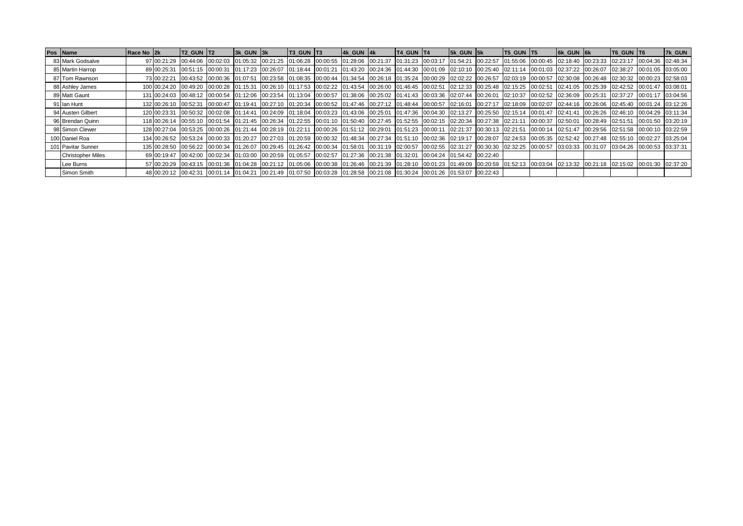| Pos Name                 | Race No 2k | <b>T2 GUN T2</b> | $3k$ GUN $3k$ | $T3$ GUN $T3$ |                                                                                                                         | 4k GUN 4k | T4 GUN T4 | $5k$ GUN $5k$ | <b>T5 GUN T5</b> | <b>6k GUN 6k</b> |                                                                                                                                                                                                                               | T6 GUN T6 | 7k GUN |
|--------------------------|------------|------------------|---------------|---------------|-------------------------------------------------------------------------------------------------------------------------|-----------|-----------|---------------|------------------|------------------|-------------------------------------------------------------------------------------------------------------------------------------------------------------------------------------------------------------------------------|-----------|--------|
| 83 Mark Godsalve         |            |                  |               |               | 97 00:21:29 00:44:06 00:02:03 01:05:32 00:21:25 01:06:28 00:00:55 01:28:06 00:21:37 01:31:23 00:03:17 01:54:21 00:22:57 |           |           |               |                  |                  | 01:55:06 00:00:45 02:18:40 00:23:33 02:23:17 00:04:36 02:48:34                                                                                                                                                                |           |        |
| 85 Martin Harrop         |            |                  |               |               |                                                                                                                         |           |           |               |                  |                  | 89 00:25:31 00:51:15 00:00:31 01:17:23 00:26:07 01:18:44 00:01:21 01:43:20 00:24:36 01:44:30 00:01:09 02:10:10 00:25:40 02:11:14 00:01:03 02:37:22 00:26:07 02:38:27 00:01:05 03:05:00                                        |           |        |
| 87 Tom Rawnson           |            |                  |               |               |                                                                                                                         |           |           |               |                  |                  | 73 00:22:21  00:43:52  00:00:36  01:07:51  00:23:58  01:08:35  00:00:44  01:34:54  00:26:18  01:35:24  00:00:29  02:02:22  00:26:57  02:03:19  00:00:57  02:30:08  00:26:48  02:30:32  00:00:23  02:58:03                     |           |        |
| 88 Ashley James          |            |                  |               |               |                                                                                                                         |           |           |               |                  |                  | 100024220 00:49:20 00:00:28 01:15:31 00:26:10 01:17:53 00:02:22 01:43:54 00:26:00 01:46:45 00:02:51 02:12:33 00:25:48 02:15:25 00:02:51 02:41:05 00:25:39 02:42:52 00:01:47 03:08:01                                          |           |        |
| 89 Matt Gaunt            |            |                  |               |               |                                                                                                                         |           |           |               |                  |                  | 131 00:24:03  00:48:12  00:00:54  01:12:06  00:23:54  01:13:04  00:00:57  01:38:06  00:25:02  01:41:43  00:03:36  02:07:44  00:26:01  02:10:37  00:02:52  02:36:09  00:25:31  02:37:27  00:01:17  03:04:56                    |           |        |
| 91 Ian Hunt              |            |                  |               |               |                                                                                                                         |           |           |               |                  |                  | 132 00:26:10  00:52:31  00:00:47  01:19:41  00:27:10  01:20:34  00:00:52  01:47:46  00:27:12  01:48:44  00:00:57  02:16:01  00:27:17  02:18:09  00:02:07  02:44:16  00:26:06  02:45:40  00:01:24  03:12:26                    |           |        |
| 94 Austen Gilbert        |            |                  |               |               |                                                                                                                         |           |           |               |                  |                  | 120 00:23:31  00:50:32  00:02:08  01:14:41  00:24:09  01:18:04  00:03:23  01:43:06  00:25:01  01:47:36  00:04:30  02:13:27  00:25:50  02:15:14  00:01:47  02:41:41  00:26:26  02:46:10  00:04:29  03:11:34                    |           |        |
| 96 Brendan Quinn         |            |                  |               |               |                                                                                                                         |           |           |               |                  |                  | 118 00:26:14  00:55:10  00:01:54  01:21:45  00:26:34  01:22:55  00:01:10  01:50:40  00:27:45  01:52:55  00:02:15  02:20:34  00:27:38  02:21:11  00:00:37  02:50:01  00:28:49  02:51:51  00:01:50  03:20:19                    |           |        |
| 98 Simon Clewer          |            |                  |               |               |                                                                                                                         |           |           |               |                  |                  | 128 00:27:04  00:53:25  00:00:26  01:21:44  00:28:19  01:22:11  00:00:26  01:51:12  00:29:01  01:51:23  00:00:11  02:21:37  00:30:13  02:21:51  00:00:14  02:51:47  00:29:56  02:51:58  00:00:10  03:22:59                    |           |        |
| 100 Daniel Roa           |            |                  |               |               |                                                                                                                         |           |           |               |                  |                  | 134 00:26:52  00:53:24  00:00:33  01:20:27  00:27:03  01:20:59  00:00:32  01:48:34  00:27:34  01:51:10  00:02:36  02:19:17  00:28:07  02:24:53  00:05:35  02:52:42  00:27:48  02:55:10  00:02:27  03:25:04                    |           |        |
| 101 Pavitar Sunner       |            |                  |               |               |                                                                                                                         |           |           |               |                  |                  | 135 00:28:50  00:56:22  00:00:34  01:26:07  00:29:45  01:26:42  00:00:34  01:58:01  00:31:19  02:00:57  00:02:55  02:31:27  00:30:30  02:32:25  00:00:57  03:03:33  00:31:07  03:04:26  00:00:53  03:37:31                    |           |        |
| <b>Christopher Miles</b> |            |                  |               |               | 69 00:19:47 00:42:00 00:02:34 01:03:00 00:20:59 01:05:57 00:02:57 01:27:36 00:21:38 01:32:01 00:04:24 01:54:42 00:22:40 |           |           |               |                  |                  |                                                                                                                                                                                                                               |           |        |
| Lee Burns                |            |                  |               |               |                                                                                                                         |           |           |               |                  |                  | 57 00:20:29  00:43:15  00:01:36  01:04:28  00:21:12  01:05:06  00:00:38  01:26:46  00:21:39  01:28:10  00:01:23  01:49:09  00:20:59  01:52:13  00:03:04  02:13:32  00:21:18  02:13:32  00:21:18  02:15:02  00:01:30  02:37:20 |           |        |
| Simon Smith              |            |                  |               |               | 48 00:20:12 00:42:31 00:01:14 01:04:21 00:21:49 01:07:50 00:03:28 01:28:58 00:21:08 01:30:24 00:01:26 01:53:07 00:22:43 |           |           |               |                  |                  |                                                                                                                                                                                                                               |           |        |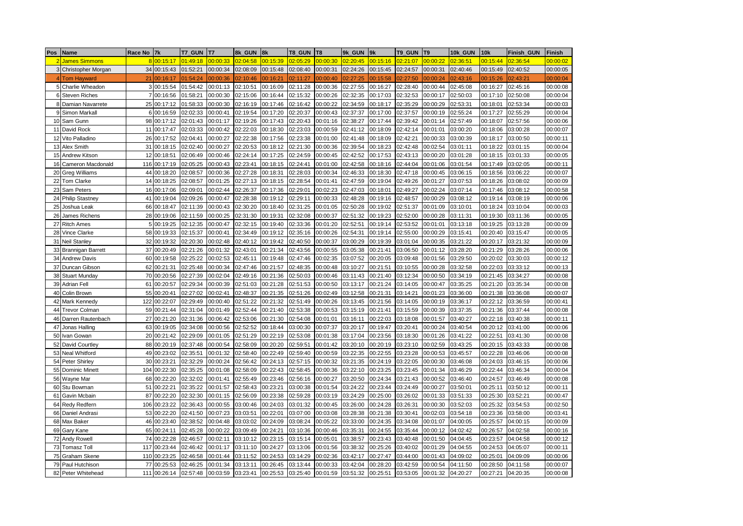| Pos            | Name                     | Race No | 7k           | T7 GUN   | T7       | 8k GUN   | 8k       | T8 GUN   | T8       | 9k GUN   | l9k      | T9_GUN   | T <sub>9</sub> | 10k GUN  | <b>10k</b> | <b>Finish GUN</b> | Finish   |
|----------------|--------------------------|---------|--------------|----------|----------|----------|----------|----------|----------|----------|----------|----------|----------------|----------|------------|-------------------|----------|
| $\overline{2}$ | <b>James Simmons</b>     |         | 8 00:15:17   | 01:49:18 | 00:00:33 | 02:04:58 | 00:15:39 | 02:05:29 | 00:00:30 | 02:20:45 | 00:15:16 | 02:21:07 | 00:00:22       | 02:36:51 | 00:15:44   | 02:36:54          | 00:00:02 |
|                | 3 Christopher Morgan     | 34      | 00:15:43     | 01:52:21 | 00:00:34 | 02:08:09 | 00:15:48 | 02:08:40 | 00:00:31 | 02:24:26 | 00:15:45 | 02:24:57 | 00:00:31       | 02:40:46 | 00:15:49   | 02:40:52          | 00:00:05 |
|                | 4 Tom Havward            | 21      | 00:16:17     | 01:54:24 | 00:00:36 | 02:10:46 | 00:16:21 | 02:11:27 | 00:00:40 | 02:27:25 | 00:15:58 | 02:27:50 | 00:00:24       | 02:43:16 | 00:15:26   | 02:43:21          | 00:00:04 |
|                | 5 Charlie Wheadon        |         | 3 00:15:54   | 01:54:42 | 00:01:13 | 02:10:51 | 00:16:09 | 02:11:28 | 00:00:36 | 02:27:55 | 00:16:27 | 02:28:40 | 00:00:44       | 02:45:08 | 00:16:27   | 02:45:16          | 00:00:08 |
|                | 6 Steven Riches          |         | 7 00:16:56   | 01:58:21 | 00:00:30 | 02:15:06 | 00:16:44 | 02:15:32 | 00:00:26 | 02:32:35 | 00:17:03 | 02:32:53 | 00:00:17       | 02:50:03 | 00:17:10   | 02:50:08          | 00:00:04 |
|                | 8 Damian Navarrete       |         | 25 00:17:12  | 01:58:33 | 00:00:30 | 02:16:19 | 00:17:46 | 02:16:42 | 00:00:22 | 02:34:59 | 00:18:17 | 02:35:29 | 00:00:29       | 02:53:31 | 00:18:01   | 02:53:34          | 00:00:03 |
| 9              | Simon Markall            |         | 6 00:16:59   | 02:02:33 | 00:00:41 | 02:19:54 | 00:17:20 | 02:20:37 | 00:00:43 | 02:37:37 | 00:17:00 | 02:37:57 | 00:00:19       | 02:55:24 | 00:17:27   | 02:55:29          | 00:00:04 |
| 10             | Sam Gunn                 |         | 98 00:17:12  | 02:01:43 | 00:01:17 | 02:19:26 | 00:17:43 | 02:20:43 | 00:01:16 | 02:38:27 | 00:17:44 | 02:39:42 | 00:01:14       | 02:57:49 | 00:18:07   | 02:57:56          | 00:00:06 |
| 11             | David Rock               | 11      | 00:17:47     | 02:03:33 | 00:00:42 | 02:22:03 | 00:18:30 | 02:23:03 | 00:00:59 | 02:41:12 | 00:18:09 | 02:42:14 | 00:01:01       | 03:00:20 | 00:18:06   | 03:00:28          | 00:00:07 |
| 12             | Vito Palladino           | 26      | 00:17:52     | 02:04:41 | 00:00:27 | 02:22:38 | 00:17:56 | 02:23:38 | 00:01:00 | 02:41:48 | 00:18:09 | 02:42:21 | 00:00:33       | 03:00:39 | 00:18:17   | 03:00:50          | 00:00:11 |
| 13             | Alex Smith               | 31      | 00:18:15     | 02:02:40 | 00:00:27 | 02:20:53 | 00:18:12 | 02:21:30 | 00:00:36 | 02:39:54 | 00:18:23 | 02:42:48 | 00:02:54       | 03:01:11 | 00:18:22   | 03:01:15          | 00:00:04 |
| 15             | Andrew Kitson            | 12      | 00:18:51     | 02:06:49 | 00:00:46 | 02:24:14 | 00:17:25 | 02:24:59 | 00:00:45 | 02:42:52 | 00:17:53 | 02:43:13 | 00:00:20       | 03:01:28 | 00:18:15   | 03:01:33          | 00:00:05 |
| 16             | Cameron Macdonald        |         | 116 00:17:19 | 02:05:25 | 00:00:43 | 02:23:41 | 00:18:15 | 02:24:41 | 00:01:00 | 02:42:58 | 00:18:16 | 02:44:04 | 00:01:06       | 03:01:54 | 00:17:49   | 03:02:05          | 00:00:11 |
| 20             | <b>Greg Williams</b>     | 44      | 00:18:20     | 02:08:57 | 00:00:36 | 02:27:28 | 00:18:31 | 02:28:03 | 00:00:34 | 02:46:33 | 00:18:30 | 02:47:18 | 00:00:45       | 03:06:15 | 00:18:56   | 03:06:22          | 00:00:07 |
| 22             | <b>Tom Clarke</b>        |         | 14 00:18:25  | 02:08:57 | 00:01:25 | 02:27:13 | 00:18:15 | 02:28:54 | 00:01:41 | 02:47:59 | 00:19:04 | 02:49:26 | 00:01:27       | 03:07:53 | 00:18:26   | 03:08:02          | 00:00:09 |
| 23             | Sam Peters               |         | 16 00:17:06  | 02:09:01 | 00:02:44 | 02:26:37 | 00:17:36 | 02:29:01 | 00:02:23 | 02:47:03 | 00:18:01 | 02:49:27 | 00:02:24       | 03:07:14 | 00:17:46   | 03:08:12          | 00:00:58 |
| 24             | <b>Philip Stastney</b>   | 41      | 00:19:04     | 02:09:26 | 00:00:47 | 02:28:38 | 00:19:12 | 02:29:11 | 00:00:33 | 02:48:28 | 00:19:16 | 02:48:57 | 00:00:29       | 03:08:12 | 00:19:14   | 03:08:19          | 00:00:06 |
| 25             | Joshua Leak              | 66      | 00:18:47     | 02:11:39 | 00:00:43 | 02:30:20 | 00:18:40 | 02:31:25 | 00:01:05 | 02:50:28 | 00:19:02 | 02:51:37 | 00:01:09       | 03:10:01 | 00:18:24   | 03:10:04          | 00:00:03 |
| 26             | James Richens            |         | 28 00:19:06  | 02:11:59 | 00:00:25 | 02:31:30 | 00:19:31 | 02:32:08 | 00:00:37 | 02:51:32 | 00:19:23 | 02:52:00 | 00:00:28       | 03:11:31 | 00:19:30   | 03:11:36          | 00:00:05 |
| 27             | <b>Ritch Ames</b>        | 5       | 00:19:25     | 02:12:35 | 00:00:47 | 02:32:15 | 00:19:40 | 02:33:36 | 00:01:20 | 02:52:51 | 00:19:14 | 02:53:52 | 00:01:01       | 03:13:18 | 00:19:25   | 03:13:28          | 00:00:09 |
| 28             | Vince Clarke             |         | 58 00:19:33  | 02:15:37 | 00:00:41 | 02:34:49 | 00:19:12 | 02:35:16 | 00:00:26 | 02:54:31 | 00:19:14 | 02:55:00 | 00:00:29       | 03:15:41 | 00:20:40   | 03:15:47          | 00:00:05 |
| 31             | Neil Stanley             | 32      | 00:19:32     | 02:20:30 | 00:02:48 | 02:40:12 | 00:19:42 | 02:40:50 | 00:00:37 | 03:00:29 | 00:19:39 | 03:01:04 | 00:00:35       | 03:21:22 | 00:20:17   | 03:21:32          | 00:00:09 |
| 33             | <b>Brannigan Barrett</b> | 37      | 00:20:49     | 02:21:26 | 00:01:32 | 02:43:01 | 00:21:34 | 02:43:56 | 00:00:55 | 03:05:38 | 00:21:41 | 03:06:50 | 00:01:12       | 03:28:20 | 00:21:29   | 03:28:26          | 00:00:06 |
| 34             | <b>Andrew Davis</b>      | 60      | 00:19:58     | 02:25:22 | 00:02:53 | 02:45:11 | 00:19:48 | 02:47:46 | 00:02:35 | 03:07:52 | 00:20:05 | 03:09:48 | 00:01:56       | 03:29:50 | 00:20:02   | 03:30:03          | 00:00:12 |
| 37             | Duncan Gibson            | 62      | 00:21:31     | 02:25:48 | 00:00:34 | 02:47:46 | 00:21:57 | 02:48:35 | 00:00:48 | 03:10:27 | 00:21:51 | 03:10:55 | 00:00:28       | 03:32:58 | 00:22:03   | 03:33:12          | 00:00:13 |
| 38             | Stuart Munday            | 70      | 00:20:56     | 02:27:39 | 00:02:04 | 02:49:16 | 00:21:36 | 02:50:03 | 00:00:46 | 03:11:43 | 00:21:40 | 03:12:34 | 00:00:50       | 03:34:19 | 00:21:45   | 03:34:27          | 00:00:08 |
| 39             | Adrian Fell              | 61      | 00:20:57     | 02:29:34 | 00:00:39 | 02:51:03 | 00:21:28 | 02:51:53 | 00:00:50 | 03:13:17 | 00:21:24 | 03:14:05 | 00:00:47       | 03:35:25 | 00:21:20   | 03:35:34          | 00:00:08 |
| 40             | Colin Brown              | 55      | 00:20:41     | 02:27:02 | 00:02:41 | 02:48:37 | 00:21:35 | 02:51:26 | 00:02:49 | 03:12:58 | 00:21:31 | 03:14:21 | 00:01:23       | 03:36:00 | 00:21:38   | 03:36:08          | 00:00:07 |
| 42             | Mark Kennedy             | 122     | 00:22:07     | 02:29:49 | 00:00:40 | 02:51:22 | 00:21:32 | 02:51:49 | 00:00:26 | 03:13:45 | 00:21:56 | 03:14:05 | 00:00:19       | 03:36:17 | 00:22:12   | 03:36:59          | 00:00:41 |
| 44             | <b>Trevor Colman</b>     | 59      | 00:21:44     | 02:31:04 | 00:01:49 | 02:52:44 | 00:21:40 | 02:53:38 | 00:00:53 | 03:15:19 | 00:21:41 | 03:15:59 | 00:00:39       | 03:37:35 | 00:21:36   | 03:37:44          | 00:00:08 |
| 46             | Darren Rautenbach        | 27      | 00:21:20     | 02:31:36 | 00:06:42 | 02:53:06 | 00:21:30 | 02:54:08 | 00:01:01 | 03:16:11 | 00:22:03 | 03:18:08 | 00:01:57       | 03:40:27 | 00:22:18   | 03:40:38          | 00:00:11 |
| 47             | Jonas Halling            | 63      | 00:19:05     | 02:34:08 | 00:00:56 | 02:52:52 | 00:18:44 | 03:00:30 | 00:07:37 | 03:20:17 | 00:19:47 | 03:20:41 | 00:00:24       | 03:40:54 | 00:20:12   | 03:41:00          | 00:00:06 |
| 50             | Ivan Gowan               | 20      | 00:21:42     | 02:29:09 | 00:01:05 | 02:51:29 | 00:22:19 | 02:53:08 | 00:01:38 | 03:17:04 | 00:23:56 | 03:18:30 | 00:01:26       | 03:41:22 | 00:22:51   | 03:41:30          | 00:00:08 |
| 52             | David Courtley           | 88      | 00:20:19     | 02:37:48 | 00:00:54 | 02:58:09 | 00:20:20 | 02:59:51 | 00:01:42 | 03:20:10 | 00:20:19 | 03:23:10 | 00:02:59       | 03:43:25 | 00:20:15   | 03:43:33          | 00:00:08 |
| 53             | <b>Neal Whitford</b>     | 49      | 00:23:02     | 02:35:51 | 00:01:32 | 02:58:40 | 00:22:49 | 02:59:40 | 00:00:59 | 03:22:35 | 00:22:55 | 03:23:28 | 00:00:53       | 03:45:57 | 00:22:28   | 03:46:06          | 00:00:08 |
| 54             | Peter Shirley            | 30      | 00:23:21     | 02:32:29 | 00:00:24 | 02:56:42 | 00:24:13 | 02:57:15 | 00:00:32 | 03:21:35 | 00:24:19 | 03:22:05 | 00:00:30       | 03:46:08 | 00:24:03   | 03:46:15          | 00:00:06 |
| 55             | Dominic Minett           | 104     | 00:22:30     | 02:35:25 | 00:01:08 | 02:58:09 | 00:22:43 | 02:58:45 | 00:00:36 | 03:22:10 | 00:23:25 | 03:23:45 | 00:01:34       | 03:46:29 | 00:22:44   | 03:46:34          | 00:00:04 |
| 56             | Wayne Mar                | 68      | 00:22:20     | 02:32:02 | 00:01:41 | 02:55:49 | 00:23:46 | 02:56:16 | 00:00:27 | 03:20:50 | 00:24:34 | 03:21:43 | 00:00:52       | 03:46:40 | 00:24:57   | 03:46:49          | 00:00:08 |
| 60             | Stu Bowman               | 51      | 00:22:21     | 02:35:22 | 00:01:57 | 02:58:43 | 00:23:21 | 03:00:38 | 00:01:54 | 03:24:22 | 00:23:44 | 03:24:49 | 00:00:27       | 03:50:01 | 00:25:11   | 03:50:12          | 00:00:11 |
| 61             | Gavin Mcbain             | 87      | 00:22:20     | 02:32:30 | 00:01:15 | 02:56:09 | 00:23:38 | 02:59:28 | 00:03:19 | 03:24:29 | 00:25:00 | 03:26:02 | 00:01:33       | 03:51:33 | 00:25:30   | 03:52:21          | 00:00:47 |
| 64             | Redy Redfern             | 106     | 00:23:22     | 02:36:43 | 00:00:55 | 03:00:46 | 00:24:03 | 03:01:32 | 00:00:45 | 03:26:00 | 00:24:28 | 03:26:31 | 00:00:30       | 03:52:03 | 00:25:32   | 03:54:53          | 00:02:50 |
| 66             | Daniel Andrasi           | 53      | 00:22:20     | 02:41:50 | 00:07:23 | 03:03:51 | 00:22:01 | 03:07:00 | 00:03:08 | 03:28:38 | 00:21:38 | 03:30:41 | 00:02:03       | 03:54:18 | 00:23:36   | 03:58:00          | 00:03:41 |
| 68             | Max Baker                | 46      | 00:23:40     | 02:38:52 | 00:04:48 | 03:03:02 | 00:24:09 | 03:08:24 | 00:05:22 | 03:33:00 | 00:24:35 | 03:34:08 | 00:01:07       | 04:00:05 | 00:25:57   | 04:00:15          | 00:00:09 |
| 69             | Gary Kane                | 65      | 00:24:11     | 02:45:28 | 00:00:22 | 03:09:49 | 00:24:21 | 03:10:36 | 00:00:46 | 03:35:31 | 00:24:55 | 03:35:44 | 00:00:12       | 04:02:42 | 00:26:57   | 04:02:58          | 00:00:16 |
| 72             | <b>Andy Rowell</b>       | 74      | 00:22:28     | 02:46:57 | 00:02:11 | 03:10:12 | 00:23:15 | 03:15:14 | 00:05:01 | 03:38:57 | 00:23:43 | 03:40:48 | 00:01:50       | 04:04:45 | 00:23:57   | 04:04:58          | 00:00:12 |
| 73             | <b>Tomasz Toll</b>       | 117     | 00:23:44     | 02:46:42 | 00:01:17 | 03:11:10 | 00:24:27 | 03:13:06 | 00:01:56 | 03:38:32 | 00:25:26 | 03:40:02 | 00:01:29       | 04:04:55 | 00:24:53   | 04:05:07          | 00:00:11 |
| 75             | Graham Skene             | 110     | 00:23:25     | 02:46:58 | 00:01:44 | 03:11:52 | 00:24:53 | 03:14:29 | 00:02:36 | 03:42:17 | 00:27:47 | 03:44:00 | 00:01:43       | 04:09:02 | 00:25:01   | 04:09:09          | 00:00:06 |
| 79             | Paul Hutchison           | 77      | 00:25:53     | 02:46:25 | 00:01:34 | 03:13:11 | 00:26:45 | 03:13:44 | 00:00:33 | 03:42:04 | 00:28:20 | 03:42:59 | 00:00:54       | 04:11:50 | 00:28:50   | 04:11:58          | 00:00:07 |
|                | 82 Peter Whitehead       | 111     | 00:26:14     | 02:57:48 | 00:03:59 | 03:23:41 | 00:25:53 | 03:25:40 | 00:01:59 | 03:51:32 | 00:25:51 | 03:53:05 | 00:01:32       | 04:20:27 | 00:27:21   | 04:20:35          | 00:00:08 |